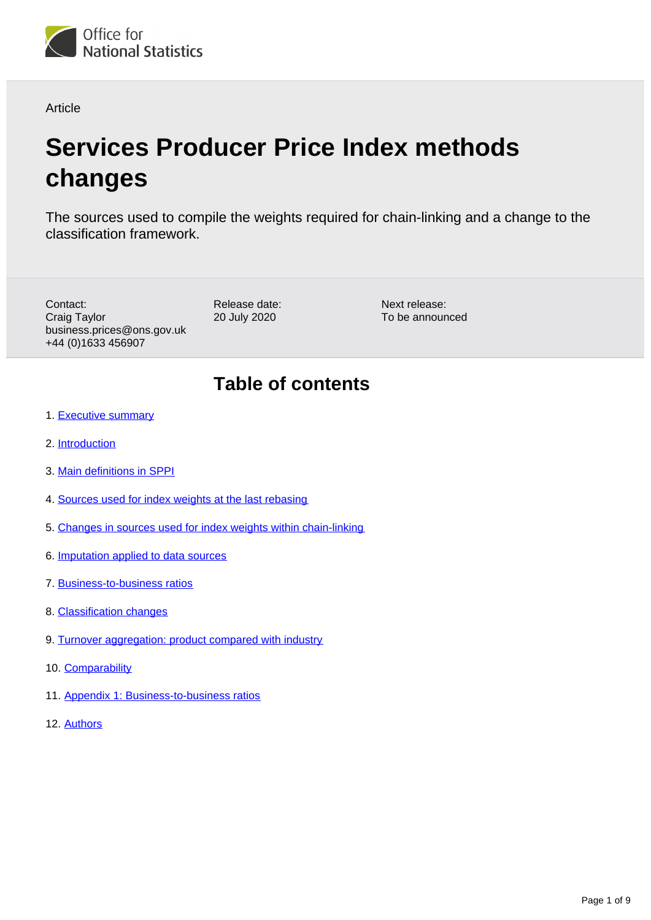

**Article** 

# **Services Producer Price Index methods changes**

The sources used to compile the weights required for chain-linking and a change to the classification framework.

Contact: Craig Taylor business.prices@ons.gov.uk +44 (0)1633 456907

Release date: 20 July 2020

Next release: To be announced

# **Table of contents**

- 1. [Executive summary](#page-1-0)
- 2. [Introduction](#page-1-1)
- 3. [Main definitions in SPPI](#page-1-2)
- 4. [Sources used for index weights at the last rebasing](#page-2-0)
- 5. [Changes in sources used for index weights within chain-linking](#page-2-1)
- 6. [Imputation applied to data sources](#page-3-0)
- 7. [Business-to-business ratios](#page-4-0)
- 8. [Classification changes](#page-5-0)
- 9. [Turnover aggregation: product compared with industry](#page-5-1)
- 10. [Comparability](#page-6-0)
- 11. [Appendix 1: Business-to-business ratios](#page-7-0)
- 12. [Authors](#page-8-0)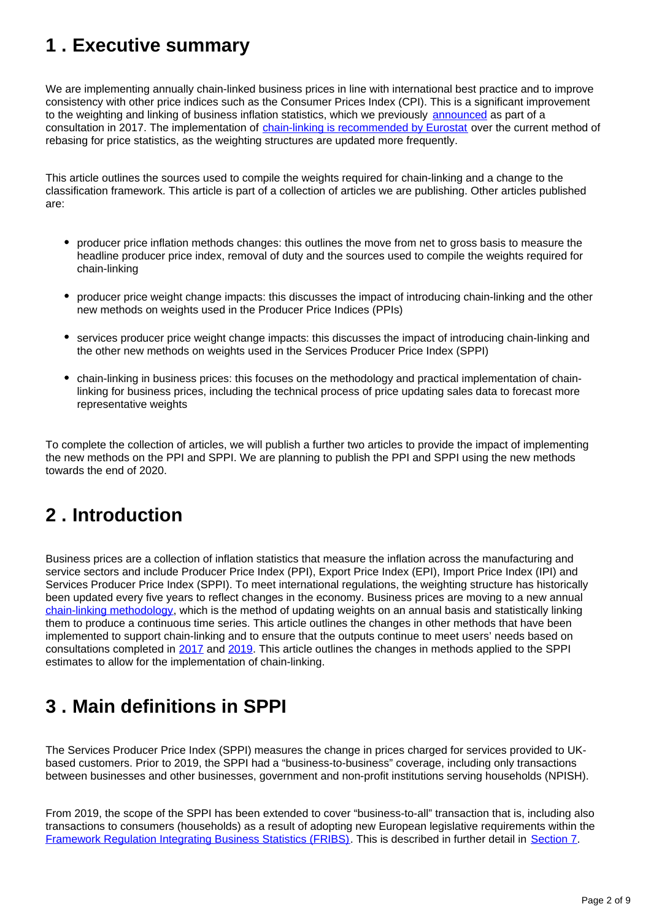# <span id="page-1-0"></span>**1 . Executive summary**

We are implementing annually chain-linked business prices in line with international best practice and to improve consistency with other price indices such as the Consumer Prices Index (CPI). This is a significant improvement to the weighting and linking of business inflation statistics, which we previously [announced](https://consultations.ons.gov.uk/prices/user-consultation-business-prices-june-2017/) as part of a consultation in 2017. The implementation of [chain-linking is recommended by Eurostat](https://ec.europa.eu/eurostat/documents/1916593/1917176/Chain+Linking+Final+Report+2012.pdf/30393337-82e8-4805-8d3b-baaab92b5c6f) over the current method of rebasing for price statistics, as the weighting structures are updated more frequently.

This article outlines the sources used to compile the weights required for chain-linking and a change to the classification framework. This article is part of a collection of articles we are publishing. Other articles published are:

- producer price inflation methods changes: this outlines the move from net to gross basis to measure the headline producer price index, removal of duty and the sources used to compile the weights required for chain-linking
- producer price weight change impacts: this discusses the impact of introducing chain-linking and the other new methods on weights used in the Producer Price Indices (PPIs)
- services producer price weight change impacts: this discusses the impact of introducing chain-linking and the other new methods on weights used in the Services Producer Price Index (SPPI)
- chain-linking in business prices: this focuses on the methodology and practical implementation of chainlinking for business prices, including the technical process of price updating sales data to forecast more representative weights

To complete the collection of articles, we will publish a further two articles to provide the impact of implementing the new methods on the PPI and SPPI. We are planning to publish the PPI and SPPI using the new methods towards the end of 2020.

# <span id="page-1-1"></span>**2 . Introduction**

Business prices are a collection of inflation statistics that measure the inflation across the manufacturing and service sectors and include Producer Price Index (PPI), Export Price Index (EPI), Import Price Index (IPI) and Services Producer Price Index (SPPI). To meet international regulations, the weighting structure has historically been updated every five years to reflect changes in the economy. Business prices are moving to a new annual [chain-linking methodology,](https://www.ons.gov.uk/economy/inflationandpriceindices/articles/chainlinkinginbusinessprices/2020-07-20) which is the method of updating weights on an annual basis and statistically linking them to produce a continuous time series. This article outlines the changes in other methods that have been implemented to support chain-linking and to ensure that the outputs continue to meet users' needs based on consultations completed in [2017](https://consultations.ons.gov.uk/prices/user-consultation-business-prices-june-2017/) and [2019](https://consultations.ons.gov.uk/prices/ppi-consultation/). This article outlines the changes in methods applied to the SPPI estimates to allow for the implementation of chain-linking.

# <span id="page-1-2"></span>**3 . Main definitions in SPPI**

The Services Producer Price Index (SPPI) measures the change in prices charged for services provided to UKbased customers. Prior to 2019, the SPPI had a "business-to-business" coverage, including only transactions between businesses and other businesses, government and non-profit institutions serving households (NPISH).

From 2019, the scope of the SPPI has been extended to cover "business-to-all" transaction that is, including also transactions to consumers (households) as a result of adopting new European legislative requirements within the [Framework Regulation Integrating Business Statistics \(FRIBS\)](https://ec.europa.eu/eurostat/about/opportunities/consultations/fribs). This is described in further detail in [Section 7](https://www.ons.gov.uk/economy/inflationandpriceindices/articles/servicesproducerpriceindexmethodschanges/2020-07-20#business-to-business-ratios).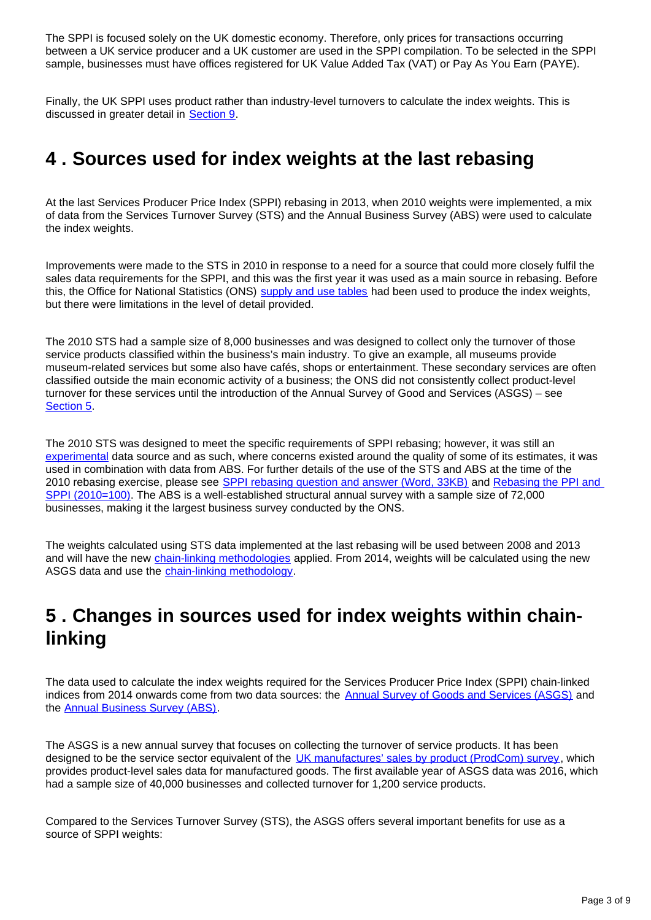The SPPI is focused solely on the UK domestic economy. Therefore, only prices for transactions occurring between a UK service producer and a UK customer are used in the SPPI compilation. To be selected in the SPPI sample, businesses must have offices registered for UK Value Added Tax (VAT) or Pay As You Earn (PAYE).

Finally, the UK SPPI uses product rather than industry-level turnovers to calculate the index weights. This is discussed in greater detail in [Section 9](https://www.ons.gov.uk/economy/inflationandpriceindices/articles/servicesproducerpriceindexmethodschanges/2020-07-20#turnover-aggregation-product-compared-with-industry).

#### <span id="page-2-0"></span>**4 . Sources used for index weights at the last rebasing**

At the last Services Producer Price Index (SPPI) rebasing in 2013, when 2010 weights were implemented, a mix of data from the Services Turnover Survey (STS) and the Annual Business Survey (ABS) were used to calculate the index weights.

Improvements were made to the STS in 2010 in response to a need for a source that could more closely fulfil the sales data requirements for the SPPI, and this was the first year it was used as a main source in rebasing. Before this, the Office for National Statistics (ONS) [supply and use tables](https://www.ons.gov.uk/economy/nationalaccounts/supplyandusetables) had been used to produce the index weights, but there were limitations in the level of detail provided.

The 2010 STS had a sample size of 8,000 businesses and was designed to collect only the turnover of those service products classified within the business's main industry. To give an example, all museums provide museum-related services but some also have cafés, shops or entertainment. These secondary services are often classified outside the main economic activity of a business; the ONS did not consistently collect product-level turnover for these services until the introduction of the Annual Survey of Good and Services (ASGS) – see [Section 5](https://www.ons.gov.uk/economy/inflationandpriceindices/articles/servicesproducerpriceindexmethodschanges/2020-07-20#changes-in-sources-used-for-index-weights-within-chain-linking).

The 2010 STS was designed to meet the specific requirements of SPPI rebasing; however, it was still an [experimental](https://www.ons.gov.uk/methodology/methodologytopicsandstatisticalconcepts/guidetoexperimentalstatistics) data source and as such, where concerns existed around the quality of some of its estimates, it was used in combination with data from ABS. For further details of the use of the STS and ABS at the time of the 2010 rebasing exercise, please see [SPPI rebasing question and answer \(Word, 33KB\)](http://www.ons.gov.uk/ons/guide-method/user-guidance/prices/sppi/sppi-rebasing-q-a.doc) and Rebasing the PPI and [SPPI \(2010=100\).](https://webarchive.nationalarchives.gov.uk/20160105201101/http:/www.ons.gov.uk/ons/rel/ppi2/producer-price-index/ppi-rebasing-2010---100/index.html) The ABS is a well-established structural annual survey with a sample size of 72,000 businesses, making it the largest business survey conducted by the ONS.

The weights calculated using STS data implemented at the last rebasing will be used between 2008 and 2013 and will have the new [chain-linking methodologies](https://www.ons.gov.uk/economy/inflationandpriceindices/articles/chainlinkinginbusinessprices/2020-07-20) applied. From 2014, weights will be calculated using the new ASGS data and use the [chain-linking methodology](https://www.ons.gov.uk/economy/inflationandpriceindices/articles/chainlinkinginbusinessprices/2020-07-20).

## <span id="page-2-1"></span>**5 . Changes in sources used for index weights within chainlinking**

The data used to calculate the index weights required for the Services Producer Price Index (SPPI) chain-linked indices from 2014 onwards come from two data sources: the **[Annual Survey of Goods and Services \(ASGS\)](https://www.ons.gov.uk/surveys/informationforbusinesses/businesssurveys/annualsurveyofgoodsandservicesasgs)** and the [Annual Business Survey \(ABS\)](https://www.ons.gov.uk/businessindustryandtrade/business/businessservices/methodologies/annualbusinesssurveyabs).

The ASGS is a new annual survey that focuses on collecting the turnover of service products. It has been designed to be the service sector equivalent of the [UK manufactures' sales by product \(ProdCom\) survey,](https://www.ons.gov.uk/surveys/informationforbusinesses/businesssurveys/ukmanufacturerssalesbyproductprodcom) which provides product-level sales data for manufactured goods. The first available year of ASGS data was 2016, which had a sample size of 40,000 businesses and collected turnover for 1,200 service products.

Compared to the Services Turnover Survey (STS), the ASGS offers several important benefits for use as a source of SPPI weights: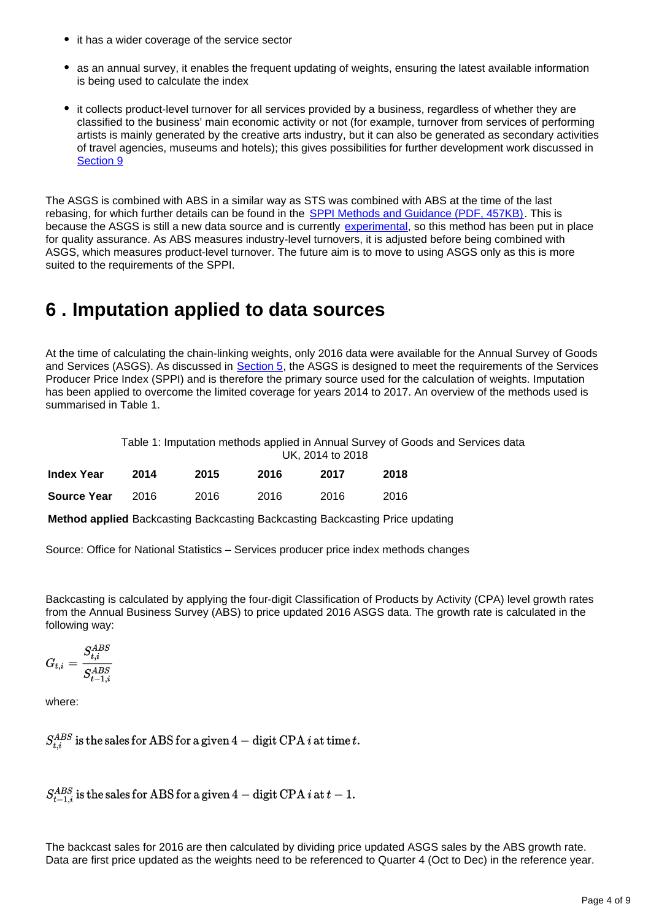- it has a wider coverage of the service sector
- as an annual survey, it enables the frequent updating of weights, ensuring the latest available information is being used to calculate the index
- it collects product-level turnover for all services provided by a business, regardless of whether they are classified to the business' main economic activity or not (for example, turnover from services of performing artists is mainly generated by the creative arts industry, but it can also be generated as secondary activities of travel agencies, museums and hotels); this gives possibilities for further development work discussed in [Section 9](https://www.ons.gov.uk/economy/inflationandpriceindices/articles/servicesproducerpriceindexmethodschanges/2020-07-20#turnover-aggregation-product-compared-with-industry)

The ASGS is combined with ABS in a similar way as STS was combined with ABS at the time of the last rebasing, for which further details can be found in the **SPPI Methods and Guidance (PDF, 457KB)**. This is because the ASGS is still a new data source and is currently [experimental](https://www.ons.gov.uk/methodology/methodologytopicsandstatisticalconcepts/guidetoexperimentalstatistics), so this method has been put in place for quality assurance. As ABS measures industry-level turnovers, it is adjusted before being combined with ASGS, which measures product-level turnover. The future aim is to move to using ASGS only as this is more suited to the requirements of the SPPI.

## <span id="page-3-0"></span>**6 . Imputation applied to data sources**

At the time of calculating the chain-linking weights, only 2016 data were available for the Annual Survey of Goods and Services (ASGS). As discussed in [Section 5,](https://www.ons.gov.uk/economy/inflationandpriceindices/articles/servicesproducerpriceindexmethodschanges/2020-07-20#changes-in-sources-used-for-index-weights-within-chain-linking) the ASGS is designed to meet the requirements of the Services Producer Price Index (SPPI) and is therefore the primary source used for the calculation of weights. Imputation has been applied to overcome the limited coverage for years 2014 to 2017. An overview of the methods used is summarised in Table 1.

> Table 1: Imputation methods applied in Annual Survey of Goods and Services data UK, 2014 to 2018

| <b>Index Year</b>  | 2014 | 2015 | 2016 | 2017 | 2018 |
|--------------------|------|------|------|------|------|
| <b>Source Year</b> | 2016 | 2016 | 2016 | 2016 | 2016 |

**Method applied** Backcasting Backcasting Backcasting Backcasting Price updating

Source: Office for National Statistics – Services producer price index methods changes

Backcasting is calculated by applying the four-digit Classification of Products by Activity (CPA) level growth rates from the Annual Business Survey (ABS) to price updated 2016 ASGS data. The growth rate is calculated in the following way:

$$
G_{t,i}=\frac{S_{t,i}^{ABS}}{S_{t-1,i}^{ABS}}
$$

where:

 $S_{i}^{ABS}$  is the sales for ABS for a given 4 – digit CPA *i* at time *t*.

 $S_{t-1,i}^{ABS}$  is the sales for ABS for a given 4 – digit CPA *i* at  $t-1$ .

The backcast sales for 2016 are then calculated by dividing price updated ASGS sales by the ABS growth rate. Data are first price updated as the weights need to be referenced to Quarter 4 (Oct to Dec) in the reference year.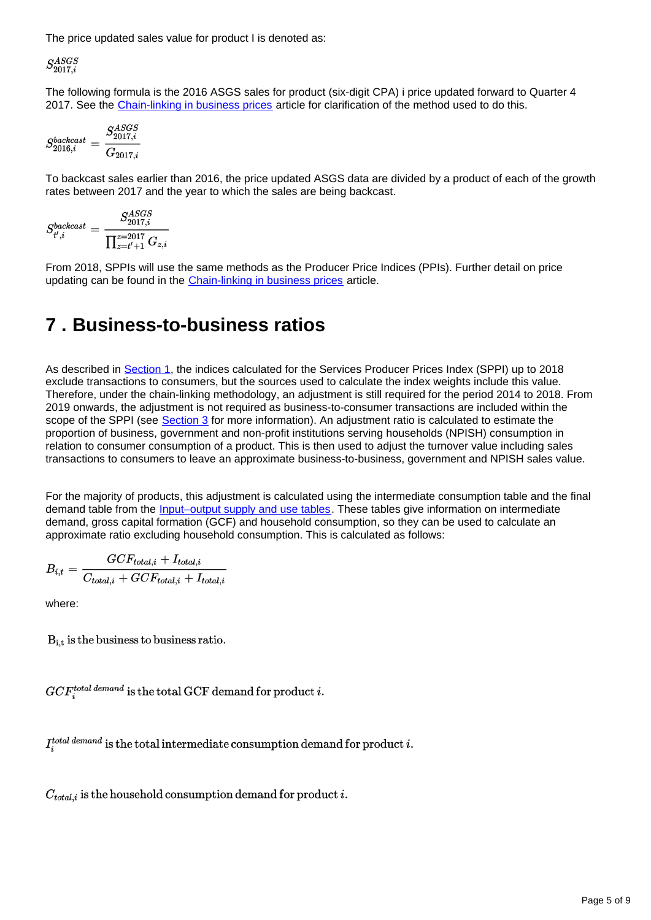The price updated sales value for product I is denoted as:

 $S_{2017,i}^{ASGS}$ 

The following formula is the 2016 ASGS sales for product (six-digit CPA) i price updated forward to Quarter 4 2017. See the [Chain-linking in business prices](https://www.ons.gov.uk/economy/inflationandpriceindices/articles/chainlinkinginbusinessprices/2020-07-20) article for clarification of the method used to do this.

$$
S_{2016,i}^{backcast} = \frac{S_{2017,i}^{ASGS}}{G_{2017,i}}
$$

To backcast sales earlier than 2016, the price updated ASGS data are divided by a product of each of the growth rates between 2017 and the year to which the sales are being backcast.

$$
S_{t',i}^{backcast} = \frac{S_{2017,i}^{ASGS}}{\prod_{z=t'+1}^{z=2017} G_{z,i}}
$$

From 2018, SPPIs will use the same methods as the Producer Price Indices (PPIs). Further detail on price updating can be found in the **[Chain-linking in business prices](https://www.ons.gov.uk/economy/inflationandpriceindices/articles/chainlinkinginbusinessprices/2020-07-20)** article.

# <span id="page-4-0"></span>**7 . Business-to-business ratios**

As described in **[Section 1](https://www.ons.gov.uk/economy/inflationandpriceindices/articles/servicesproducerpriceindexmethodschanges/2020-07-20#executive-summary)**, the indices calculated for the Services Producer Prices Index (SPPI) up to 2018 exclude transactions to consumers, but the sources used to calculate the index weights include this value. Therefore, under the chain-linking methodology, an adjustment is still required for the period 2014 to 2018. From 2019 onwards, the adjustment is not required as business-to-consumer transactions are included within the scope of the SPPI (see [Section 3](https://www.ons.gov.uk/economy/inflationandpriceindices/articles/servicesproducerpriceindexmethodschanges/2020-07-20#main-definitions-in-sppi) for more information). An adjustment ratio is calculated to estimate the proportion of business, government and non-profit institutions serving households (NPISH) consumption in relation to consumer consumption of a product. This is then used to adjust the turnover value including sales transactions to consumers to leave an approximate business-to-business, government and NPISH sales value.

For the majority of products, this adjustment is calculated using the intermediate consumption table and the final demand table from the [Input–output supply and use tables](https://www.ons.gov.uk/economy/nationalaccounts/supplyandusetables/datasets/inputoutputsupplyandusetables). These tables give information on intermediate demand, gross capital formation (GCF) and household consumption, so they can be used to calculate an approximate ratio excluding household consumption. This is calculated as follows:

$$
B_{i,t} = \frac{GCF_{total,i} + I_{total,i}}{C_{total,i} + GCF_{total,i} + I_{total,i}}
$$

where:

 $B_{i,t}$  is the business to business ratio.

 $GCF_i^{total\ demand}$  is the total GCF demand for product i.

 $I_i^{total\ demand}$  is the total intermediate consumption demand for product i.

 $C_{total,i}$  is the household consumption demand for product i.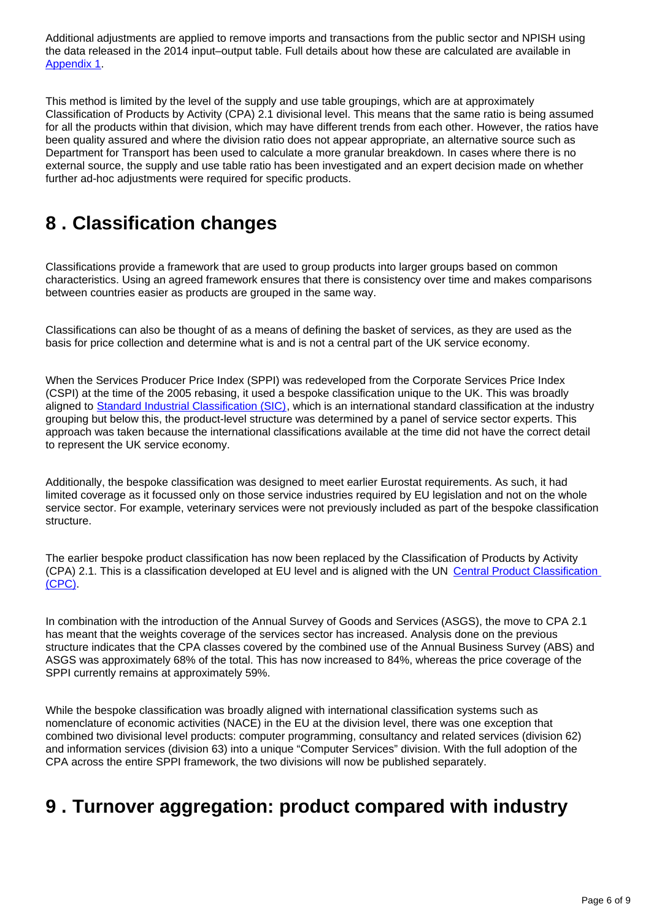Additional adjustments are applied to remove imports and transactions from the public sector and NPISH using the data released in the 2014 input–output table. Full details about how these are calculated are available in [Appendix 1](https://www.ons.gov.uk/economy/inflationandpriceindices/articles/servicesproducerpriceindexmethodschanges/2020-07-20#appendix-1-business-to-business-ratios).

This method is limited by the level of the supply and use table groupings, which are at approximately Classification of Products by Activity (CPA) 2.1 divisional level. This means that the same ratio is being assumed for all the products within that division, which may have different trends from each other. However, the ratios have been quality assured and where the division ratio does not appear appropriate, an alternative source such as Department for Transport has been used to calculate a more granular breakdown. In cases where there is no external source, the supply and use table ratio has been investigated and an expert decision made on whether further ad-hoc adjustments were required for specific products.

### <span id="page-5-0"></span>**8 . Classification changes**

Classifications provide a framework that are used to group products into larger groups based on common characteristics. Using an agreed framework ensures that there is consistency over time and makes comparisons between countries easier as products are grouped in the same way.

Classifications can also be thought of as a means of defining the basket of services, as they are used as the basis for price collection and determine what is and is not a central part of the UK service economy.

When the Services Producer Price Index (SPPI) was redeveloped from the Corporate Services Price Index (CSPI) at the time of the 2005 rebasing, it used a bespoke classification unique to the UK. This was broadly aligned to [Standard Industrial Classification \(SIC\)](https://www.ons.gov.uk/methodology/classificationsandstandards/ukstandardindustrialclassificationofeconomicactivities/uksic2007), which is an international standard classification at the industry grouping but below this, the product-level structure was determined by a panel of service sector experts. This approach was taken because the international classifications available at the time did not have the correct detail to represent the UK service economy.

Additionally, the bespoke classification was designed to meet earlier Eurostat requirements. As such, it had limited coverage as it focussed only on those service industries required by EU legislation and not on the whole service sector. For example, veterinary services were not previously included as part of the bespoke classification structure.

The earlier bespoke product classification has now been replaced by the Classification of Products by Activity (CPA) 2.1. This is a classification developed at EU level and is aligned with the UN [Central Product Classification](https://unstats.un.org/unsd/classifications/Econ/cpc)  [\(CPC\).](https://unstats.un.org/unsd/classifications/Econ/cpc)

In combination with the introduction of the Annual Survey of Goods and Services (ASGS), the move to CPA 2.1 has meant that the weights coverage of the services sector has increased. Analysis done on the previous structure indicates that the CPA classes covered by the combined use of the Annual Business Survey (ABS) and ASGS was approximately 68% of the total. This has now increased to 84%, whereas the price coverage of the SPPI currently remains at approximately 59%.

While the bespoke classification was broadly aligned with international classification systems such as nomenclature of economic activities (NACE) in the EU at the division level, there was one exception that combined two divisional level products: computer programming, consultancy and related services (division 62) and information services (division 63) into a unique "Computer Services" division. With the full adoption of the CPA across the entire SPPI framework, the two divisions will now be published separately.

#### <span id="page-5-1"></span>**9 . Turnover aggregation: product compared with industry**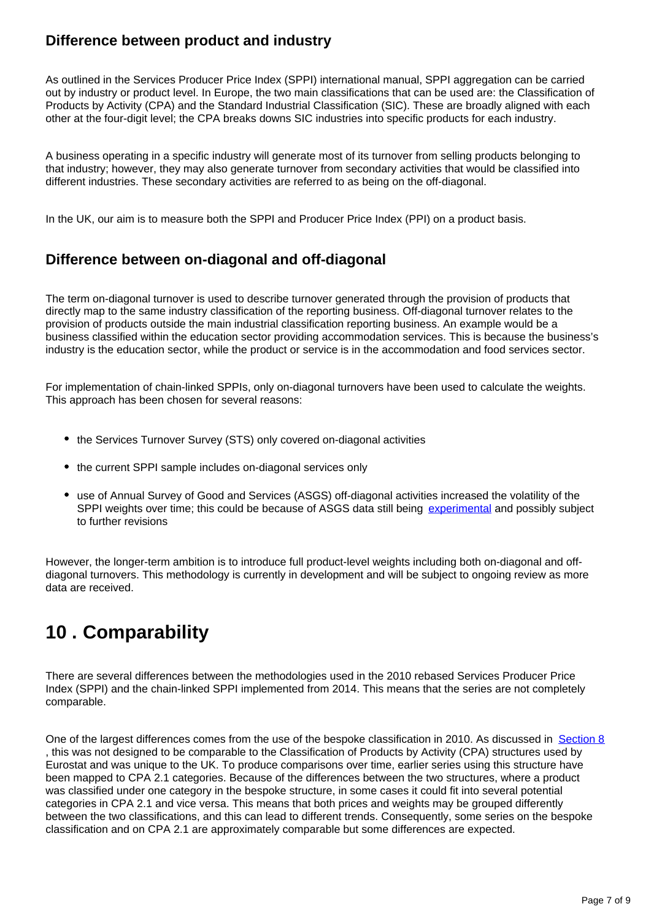#### **Difference between product and industry**

As outlined in the Services Producer Price Index (SPPI) international manual, SPPI aggregation can be carried out by industry or product level. In Europe, the two main classifications that can be used are: the Classification of Products by Activity (CPA) and the Standard Industrial Classification (SIC). These are broadly aligned with each other at the four-digit level; the CPA breaks downs SIC industries into specific products for each industry.

A business operating in a specific industry will generate most of its turnover from selling products belonging to that industry; however, they may also generate turnover from secondary activities that would be classified into different industries. These secondary activities are referred to as being on the off-diagonal.

In the UK, our aim is to measure both the SPPI and Producer Price Index (PPI) on a product basis.

#### **Difference between on-diagonal and off-diagonal**

The term on-diagonal turnover is used to describe turnover generated through the provision of products that directly map to the same industry classification of the reporting business. Off-diagonal turnover relates to the provision of products outside the main industrial classification reporting business. An example would be a business classified within the education sector providing accommodation services. This is because the business's industry is the education sector, while the product or service is in the accommodation and food services sector.

For implementation of chain-linked SPPIs, only on-diagonal turnovers have been used to calculate the weights. This approach has been chosen for several reasons:

- the Services Turnover Survey (STS) only covered on-diagonal activities
- the current SPPI sample includes on-diagonal services only
- use of Annual Survey of Good and Services (ASGS) off-diagonal activities increased the volatility of the SPPI weights over time; this could be because of ASGS data still being [experimental](https://www.ons.gov.uk/methodology/methodologytopicsandstatisticalconcepts/guidetoexperimentalstatistics) and possibly subject to further revisions

However, the longer-term ambition is to introduce full product-level weights including both on-diagonal and offdiagonal turnovers. This methodology is currently in development and will be subject to ongoing review as more data are received.

# <span id="page-6-0"></span>**10 . Comparability**

There are several differences between the methodologies used in the 2010 rebased Services Producer Price Index (SPPI) and the chain-linked SPPI implemented from 2014. This means that the series are not completely comparable.

One of the largest differences comes from the use of the bespoke classification in 2010. As discussed in [Section 8](https://www.ons.gov.uk/economy/inflationandpriceindices/articles/servicesproducerpriceindexmethodschanges/2020-07-20#classification-changes) , this was not designed to be comparable to the Classification of Products by Activity (CPA) structures used by Eurostat and was unique to the UK. To produce comparisons over time, earlier series using this structure have been mapped to CPA 2.1 categories. Because of the differences between the two structures, where a product was classified under one category in the bespoke structure, in some cases it could fit into several potential categories in CPA 2.1 and vice versa. This means that both prices and weights may be grouped differently between the two classifications, and this can lead to different trends. Consequently, some series on the bespoke classification and on CPA 2.1 are approximately comparable but some differences are expected.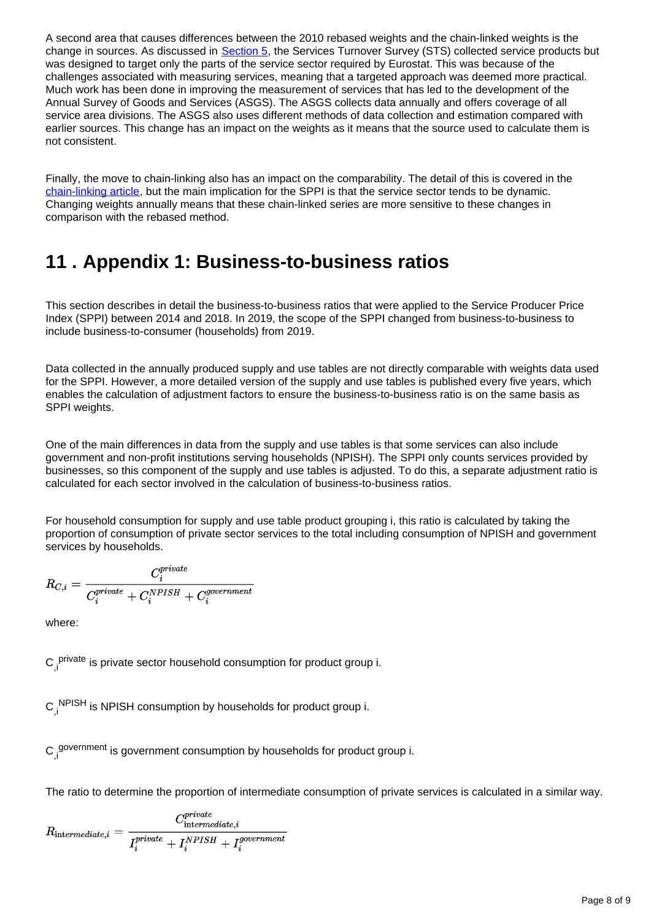A second area that causes differences between the 2010 rebased weights and the chain-linked weights is the change in sources. As discussed in [Section 5](https://www.ons.gov.uk/economy/inflationandpriceindices/articles/servicesproducerpriceindexmethodschanges/2020-07-20#changes-in-sources-used-for-index-weights-within-chain-linking), the Services Turnover Survey (STS) collected service products but was designed to target only the parts of the service sector required by Eurostat. This was because of the challenges associated with measuring services, meaning that a targeted approach was deemed more practical. Much work has been done in improving the measurement of services that has led to the development of the Annual Survey of Goods and Services (ASGS). The ASGS collects data annually and offers coverage of all service area divisions. The ASGS also uses different methods of data collection and estimation compared with earlier sources. This change has an impact on the weights as it means that the source used to calculate them is not consistent.

Finally, the move to chain-linking also has an impact on the comparability. The detail of this is covered in the [chain-linking article,](https://www.ons.gov.uk/economy/inflationandpriceindices/articles/chainlinkinginbusinessprices/2020-07-20) but the main implication for the SPPI is that the service sector tends to be dynamic. Changing weights annually means that these chain-linked series are more sensitive to these changes in comparison with the rebased method.

## <span id="page-7-0"></span>**11 . Appendix 1: Business-to-business ratios**

This section describes in detail the business-to-business ratios that were applied to the Service Producer Price Index (SPPI) between 2014 and 2018. In 2019, the scope of the SPPI changed from business-to-business to include business-to-consumer (households) from 2019.

Data collected in the annually produced supply and use tables are not directly comparable with weights data used for the SPPI. However, a more detailed version of the supply and use tables is published every five years, which enables the calculation of adjustment factors to ensure the business-to-business ratio is on the same basis as SPPI weights.

One of the main differences in data from the supply and use tables is that some services can also include government and non-profit institutions serving households (NPISH). The SPPI only counts services provided by businesses, so this component of the supply and use tables is adjusted. To do this, a separate adjustment ratio is calculated for each sector involved in the calculation of business-to-business ratios.

For household consumption for supply and use table product grouping i, this ratio is calculated by taking the proportion of consumption of private sector services to the total including consumption of NPISH and government services by households.

$$
R_{C,i} = \frac{C_i^{private}}{C_i^{private} + C_i^{NPISH} + C_i^{government}}
$$

where:

 $C_{j,i}^{\text{ private}}$  is private sector household consumption for product group i.

 $\mathsf{C}_{\mathsf{,i}}^{\mathsf{NPISH}}$  is NPISH consumption by households for product group i.

 $\mathsf{C}_{\mathsf{,i}}^{\mathsf{government}}$  is government consumption by households for product group i.

The ratio to determine the proportion of intermediate consumption of private services is calculated in a similar way.

$$
R_{\text{intermediate},i} = \frac{C^{private}_{\text{intermediate},i}}{I^{private}_i + I^{NPISH}_i + I^{government}_i}
$$